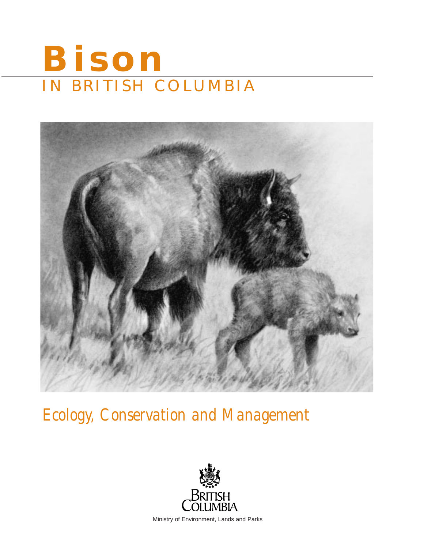# **Bison** IN BRITISH COLUMBIA



*Ecology, Conservation and Management*



Ministry of Environment, Lands and Parks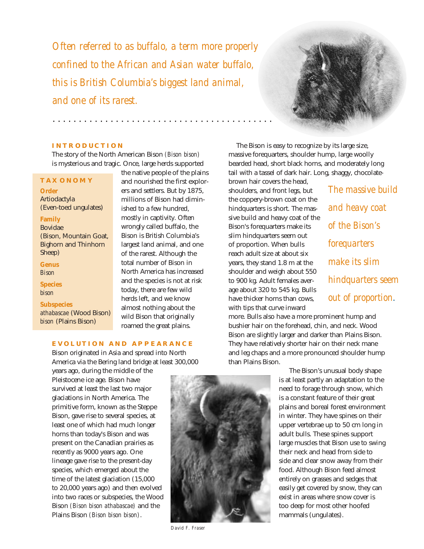*Often referred to as buffalo, a term more properly confined to the African and Asian water buffalo, this is British Columbia's biggest land animal, and one of its rarest.*

. . . . . . . . . . . . . . . . . . . . . . . . . . . . . . . . . . . . . . . . . .



*The massive build*

*and heavy coat* 

*of the Bison's* 

*forequarters* 

*make its slim*

*hindquarters seem*

*out of proportion.*

## **INTRODUCTION**

The story of the North American Bison *(Bison bison)* is mysterious and tragic. Once, large herds supported

## **TAXONOMY**

**Order** Artiodactyla (Even-toed ungulates)

## **Family**

Bovidae (Bison, Mountain Goat, Bighorn and Thinhorn Sheep)

**Genus** *Bison*

**Species** *bison*

#### **Subspecies**

*athabascae* (Wood Bison) *bison* (Plains Bison)

the native people of the plains and nourished the first explorers and settlers. But by 1875, millions of Bison had diminished to a few hundred, mostly in captivity. Often wrongly called buffalo, the Bison is British Columbia's largest land animal, and one of the rarest. Although the total number of Bison in North America has increased and the species is not at risk today, there are few wild herds left, and we know almost nothing about the wild Bison that originally roamed the great plains.

The Bison is easy to recognize by its large size, massive forequarters, shoulder hump, large woolly bearded head, short black horns, and moderately long tail with a tassel of dark hair. Long, shaggy, chocolate-

brown hair covers the head, shoulders, and front legs, but the coppery-brown coat on the hindquarters is short. The massive build and heavy coat of the Bison's forequarters make its slim hindquarters seem out of proportion. When bulls reach adult size at about six years, they stand 1.8 m at the shoulder and weigh about 550 to 900 kg. Adult females average about 320 to 545 kg. Bulls have thicker horns than cows, with tips that curve inward

more. Bulls also have a more prominent hump and bushier hair on the forehead, chin, and neck. Wood Bison are slightly larger and darker than Plains Bison. They have relatively shorter hair on their neck mane and leg chaps and a more pronounced shoulder hump than Plains Bison.

> The Bison's unusual body shape is at least partly an adaptation to the need to forage through snow, which is a constant feature of their great plains and boreal forest environment in winter. They have spines on their upper vertebrae up to 50 cm long in adult bulls. These spines support large muscles that Bison use to swing their neck and head from side to side and clear snow away from their food. Although Bison feed almost entirely on grasses and sedges that easily get covered by snow, they can exist in areas where snow cover is too deep for most other hoofed mammals (ungulates).

## **EVOLUTION AND APPEARANCE**

Bison originated in Asia and spread into North America via the Bering land bridge at least 300,000

years ago, during the middle of the Pleistocene ice age. Bison have survived at least the last two major glaciations in North America. The primitive form, known as the Steppe Bison, gave rise to several species, at least one of which had much longer horns than today's Bison and was present on the Canadian prairies as recently as 9000 years ago. One lineage gave rise to the present-day species, which emerged about the time of the latest glaciation (15,000 to 20,000 years ago) and then evolved into two races or subspecies, the Wood Bison *(Bison bison athabascae)* and the Plains Bison *(Bison bison bison)*.



*David F. Fraser*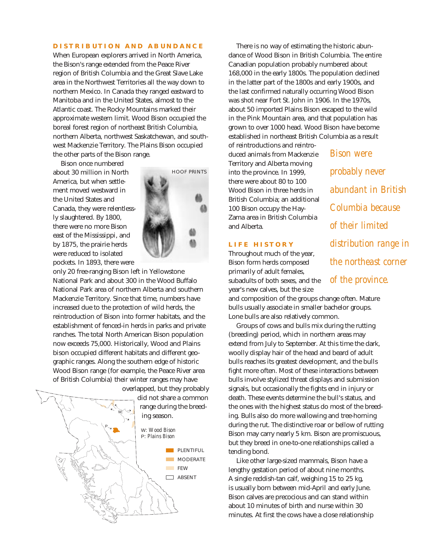## **DISTRIBUTION AND ABUNDANCE**

When European explorers arrived in North America, the Bison's range extended from the Peace River region of British Columbia and the Great Slave Lake area in the Northwest Territories all the way down to northern Mexico. In Canada they ranged eastward to Manitoba and in the United States, almost to the Atlantic coast. The Rocky Mountains marked their approximate western limit. Wood Bison occupied the boreal forest region of northeast British Columbia, northern Alberta, northwest Saskatchewan, and southwest Mackenzie Territory. The Plains Bison occupied the other parts of the Bison range.

Bison once numbered about 30 million in North America, but when settlement moved westward in the United States and Canada, they were relentlessly slaughtered. By 1800, there were no more Bison east of the Mississippi, and by 1875, the prairie herds were reduced to isolated pockets. In 1893, there were



only 20 free-ranging Bison left in Yellowstone National Park and about 300 in the Wood Buffalo National Park area of northern Alberta and southern Mackenzie Territory. Since that time, numbers have increased due to the protection of wild herds, the reintroduction of Bison into former habitats, and the establishment of fenced-in herds in parks and private ranches. The total North American Bison population now exceeds 75,000. Historically, Wood and Plains bison occupied different habitats and different geographic ranges. Along the southern edge of historic Wood Bison range (for example, the Peace River area of British Columbia) their winter ranges may have



There is no way of estimating the historic abundance of Wood Bison in British Columbia. The entire Canadian population probably numbered about 168,000 in the early 1800s. The population declined in the latter part of the 1800s and early 1900s, and the last confirmed naturally occurring Wood Bison was shot near Fort St. John in 1906. In the 1970s, about 50 imported Plains Bison escaped to the wild in the Pink Mountain area, and that population has grown to over 1000 head. Wood Bison have become established in northeast British Columbia as a result

of reintroductions and reintroduced animals from Mackenzie Territory and Alberta moving into the province. In 1999, there were about 80 to 100 Wood Bison in three herds in British Columbia; an additional 100 Bison occupy the Hay-Zama area in British Columbia and Alberta.

## **LIFE HISTORY**

Throughout much of the year, Bison form herds composed primarily of adult females, subadults of both sexes, and the year's new calves, but the size

and composition of the groups change often. Mature bulls usually associate in smaller bachelor groups. Lone bulls are also relatively common.

Groups of cows and bulls mix during the rutting (breeding) period, which in northern areas may extend from July to September. At this time the dark, woolly display hair of the head and beard of adult bulls reaches its greatest development, and the bulls fight more often. Most of these interactions between bulls involve stylized threat displays and submission signals, but occasionally the fights end in injury or death. These events determine the bull's status, and the ones with the highest status do most of the breeding. Bulls also do more wallowing and tree-horning during the rut. The distinctive roar or bellow of rutting Bison may carry nearly 5 km. Bison are promiscuous, but they breed in one-to-one relationships called a tending bond.

Like other large-sized mammals, Bison have a lengthy gestation period of about nine months. A single reddish-tan calf, weighing 15 to 25 kg, is usually born between mid-April and early June. Bison calves are precocious and can stand within about 10 minutes of birth and nurse within 30 minutes. At first the cows have a close relationship

*Bison were probably never abundant in British Columbia because of their limited distribution range in the northeast corner of the province.*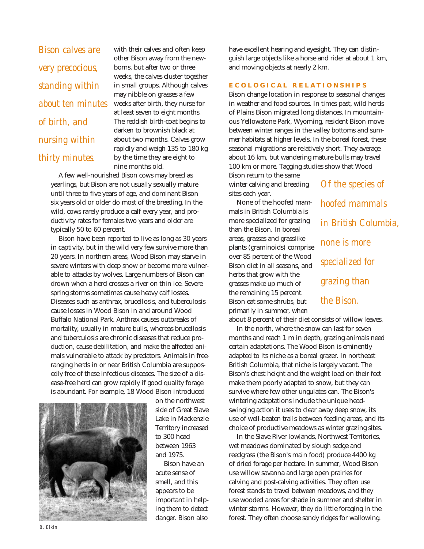*Bison calves are very precocious, standing within about ten minutes of birth, and nursing within thirty minutes.*

with their calves and often keep other Bison away from the newborns, but after two or three weeks, the calves cluster together in small groups. Although calves may nibble on grasses a few weeks after birth, they nurse for at least seven to eight months. The reddish birth-coat begins to darken to brownish black at about two months. Calves grow rapidly and weigh 135 to 180 kg by the time they are eight to nine months old.

A few well-nourished Bison cows may breed as yearlings, but Bison are not usually sexually mature until three to five years of age, and dominant Bison six years old or older do most of the breeding. In the wild, cows rarely produce a calf every year, and productivity rates for females two years and older are typically 50 to 60 percent.

Bison have been reported to live as long as 30 years in captivity, but in the wild very few survive more than 20 years. In northern areas, Wood Bison may starve in severe winters with deep snow or become more vulnerable to attacks by wolves. Large numbers of Bison can drown when a herd crosses a river on thin ice. Severe spring storms sometimes cause heavy calf losses. Diseases such as anthrax, brucellosis, and tuberculosis cause losses in Wood Bison in and around Wood Buffalo National Park. Anthrax causes outbreaks of mortality, usually in mature bulls, whereas brucellosis and tuberculosis are chronic diseases that reduce production, cause debilitation, and make the affected animals vulnerable to attack by predators. Animals in freeranging herds in or near British Columbia are supposedly free of these infectious diseases. The size of a disease-free herd can grow rapidly if good quality forage is abundant. For example, 18 Wood Bison introduced



on the northwest side of Great Slave Lake in Mackenzie Territory increased to 300 head between 1963 and 1975.

Bison have an acute sense of smell, and this appears to be important in helping them to detect danger. Bison also

have excellent hearing and eyesight. They can distinguish large objects like a horse and rider at about 1 km, and moving objects at nearly 2 km.

#### **ECOLOGICAL RELATIONSHIPS**

Bison change location in response to seasonal changes in weather and food sources. In times past, wild herds of Plains Bison migrated long distances. In mountainous Yellowstone Park, Wyoming, resident Bison move between winter ranges in the valley bottoms and summer habitats at higher levels. In the boreal forest, these seasonal migrations are relatively short. They average about 16 km, but wandering mature bulls may travel 100 km or more. Tagging studies show that Wood Bison return to the same

winter calving and breeding sites each year.

None of the hoofed mammals in British Columbia is more specialized for grazing than the Bison. In boreal areas, grasses and grasslike plants (graminoids) comprise over 85 percent of the Wood Bison diet in all seasons, and herbs that grow with the grasses make up much of the remaining 15 percent. Bison eat some shrubs, but primarily in summer, when

*Of the species of hoofed mammals in British Columbia, none is more specialized for grazing than the Bison.*

about 8 percent of their diet consists of willow leaves.

In the north, where the snow can last for seven months and reach 1 m in depth, grazing animals need certain adaptations. The Wood Bison is eminently adapted to its niche as a boreal grazer. In northeast British Columbia, that niche is largely vacant. The Bison's chest height and the weight load on their feet make them poorly adapted to snow, but they can survive where few other ungulates can. The Bison's wintering adaptations include the unique headswinging action it uses to clear away deep snow, its use of well-beaten trails between feeding areas, and its choice of productive meadows as winter grazing sites.

In the Slave River lowlands, Northwest Territories, wet meadows dominated by slough sedge and reedgrass (the Bison's main food) produce 4400 kg of dried forage per hectare. In summer, Wood Bison use willow savanna and large open prairies for calving and post-calving activities. They often use forest stands to travel between meadows, and they use wooded areas for shade in summer and shelter in winter storms. However, they do little foraging in the forest. They often choose sandy ridges for wallowing.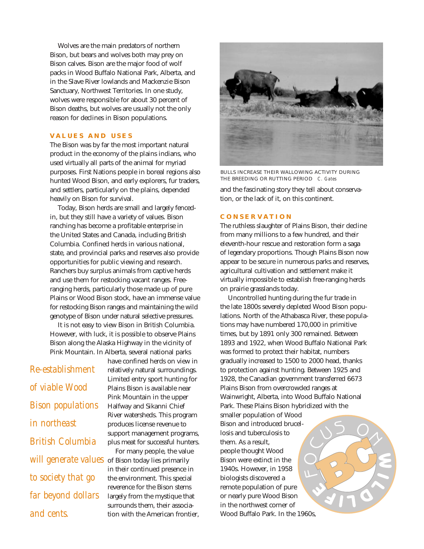Wolves are the main predators of northern Bison, but bears and wolves both may prey on Bison calves. Bison are the major food of wolf packs in Wood Buffalo National Park, Alberta, and in the Slave River lowlands and Mackenzie Bison Sanctuary, Northwest Territories. In one study, wolves were responsible for about 30 percent of Bison deaths, but wolves are usually not the only reason for declines in Bison populations.

## **VALUES AND USES**

The Bison was by far the most important natural product in the economy of the plains indians, who used virtually all parts of the animal for myriad purposes. First Nations people in boreal regions also hunted Wood Bison, and early explorers, fur traders, and settlers, particularly on the plains, depended heavily on Bison for survival.

Today, Bison herds are small and largely fencedin, but they still have a variety of values. Bison ranching has become a profitable enterprise in the United States and Canada, including British Columbia. Confined herds in various national, state, and provincial parks and reserves also provide opportunities for public viewing and research. Ranchers buy surplus animals from captive herds and use them for restocking vacant ranges. Freeranging herds, particularly those made up of pure Plains or Wood Bison stock, have an immense value for restocking Bison ranges and maintaining the wild genotype of Bison under natural selective pressures.

It is not easy to view Bison in British Columbia. However, with luck, it is possible to observe Plains Bison along the Alaska Highway in the vicinity of Pink Mountain. In Alberta, several national parks

*Re-establishment of viable Wood Bison populations in northeast British Columbia to society that go far beyond dollars and cents.*

have confined herds on view in relatively natural surroundings. Limited entry sport hunting for Plains Bison is available near Pink Mountain in the upper Halfway and Sikanni Chief River watersheds. This program produces license revenue to support management programs, plus meat for successful hunters.

For many people, the value will generate values of Bison today lies primarily in their continued presence in the environment. This special reverence for the Bison stems largely from the mystique that surrounds them, their association with the American frontier,



and the fascinating story they tell about conservation, or the lack of it, on this continent. BULLS INCREASE THEIR WALLOWING ACTIVITY DURING THE BREEDING OR RUTTING PERIOD *C. Gates*

## **CONSERVATION**

The ruthless slaughter of Plains Bison, their decline from many millions to a few hundred, and their eleventh-hour rescue and restoration form a saga of legendary proportions. Though Plains Bison now appear to be secure in numerous parks and reserves, agricultural cultivation and settlement make it virtually impossible to establish free-ranging herds on prairie grasslands today.

Uncontrolled hunting during the fur trade in the late 1800s severely depleted Wood Bison populations. North of the Athabasca River, these populations may have numbered 170,000 in primitive times, but by 1891 only 300 remained. Between 1893 and 1922, when Wood Buffalo National Park was formed to protect their habitat, numbers gradually increased to 1500 to 2000 head, thanks to protection against hunting. Between 1925 and 1928, the Canadian government transferred 6673 Plains Bison from overcrowded ranges at Wainwright, Alberta, into Wood Buffalo National Park. These Plains Bison hybridized with the

smaller population of Wood Bison and introduced brucellosis and tuberculosis to them. As a result, people thought Wood Bison were extinct in the 1940s. However, in 1958 biologists discovered a remote population of pure or nearly pure Wood Bison in the northwest corner of Wood Buffalo Park. In the 1960s,